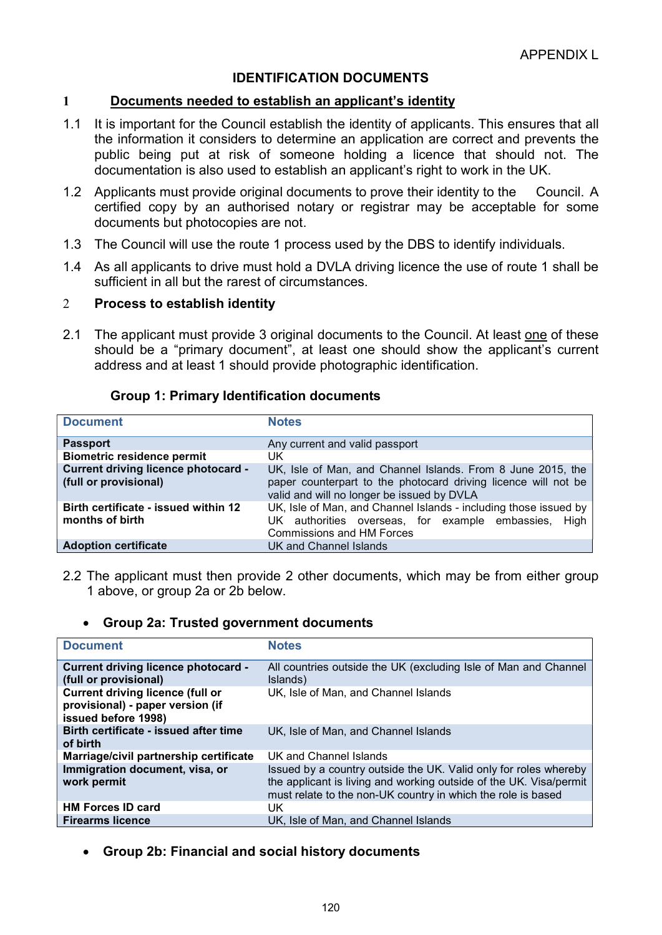# IDENTIFICATION DOCUMENTS

## 1 Documents needed to establish an applicant's identity

- 1.1 It is important for the Council establish the identity of applicants. This ensures that all the information it considers to determine an application are correct and prevents the public being put at risk of someone holding a licence that should not. The documentation is also used to establish an applicant's right to work in the UK.
- 1.2 Applicants must provide original documents to prove their identity to the Council. A certified copy by an authorised notary or registrar may be acceptable for some documents but photocopies are not.
- 1.3 The Council will use the route 1 process used by the DBS to identify individuals.
- 1.4 As all applicants to drive must hold a DVLA driving licence the use of route 1 shall be sufficient in all but the rarest of circumstances.

#### 2 Process to establish identity

2.1 The applicant must provide 3 original documents to the Council. At least one of these should be a "primary document", at least one should show the applicant's current address and at least 1 should provide photographic identification.

### Group 1: Primary Identification documents

| <b>Document</b>                                                     | <b>Notes</b>                                                                                                                                                                |  |  |
|---------------------------------------------------------------------|-----------------------------------------------------------------------------------------------------------------------------------------------------------------------------|--|--|
| <b>Passport</b>                                                     | Any current and valid passport                                                                                                                                              |  |  |
| <b>Biometric residence permit</b>                                   | UK                                                                                                                                                                          |  |  |
| <b>Current driving licence photocard -</b><br>(full or provisional) | UK, Isle of Man, and Channel Islands. From 8 June 2015, the<br>paper counterpart to the photocard driving licence will not be<br>valid and will no longer be issued by DVLA |  |  |
| Birth certificate - issued within 12<br>months of birth             | UK, Isle of Man, and Channel Islands - including those issued by<br>UK authorities overseas, for example embassies, High<br><b>Commissions and HM Forces</b>                |  |  |
| <b>Adoption certificate</b>                                         | UK and Channel Islands                                                                                                                                                      |  |  |

2.2 The applicant must then provide 2 other documents, which may be from either group 1 above, or group 2a or 2b below.

#### Group 2a: Trusted government documents

| <b>Document</b>                                                                                    | <b>Notes</b>                                                                                                                                                                                           |  |
|----------------------------------------------------------------------------------------------------|--------------------------------------------------------------------------------------------------------------------------------------------------------------------------------------------------------|--|
| <b>Current driving licence photocard -</b><br>(full or provisional)                                | All countries outside the UK (excluding Isle of Man and Channel<br>Islands)                                                                                                                            |  |
| <b>Current driving licence (full or</b><br>provisional) - paper version (if<br>issued before 1998) | UK, Isle of Man, and Channel Islands                                                                                                                                                                   |  |
| Birth certificate - issued after time<br>of birth                                                  | UK, Isle of Man, and Channel Islands                                                                                                                                                                   |  |
| Marriage/civil partnership certificate                                                             | UK and Channel Islands                                                                                                                                                                                 |  |
| Immigration document, visa, or<br>work permit                                                      | Issued by a country outside the UK. Valid only for roles whereby<br>the applicant is living and working outside of the UK. Visa/permit<br>must relate to the non-UK country in which the role is based |  |
| <b>HM Forces ID card</b>                                                                           | UK                                                                                                                                                                                                     |  |
| <b>Firearms licence</b>                                                                            | UK. Isle of Man. and Channel Islands                                                                                                                                                                   |  |

Group 2b: Financial and social history documents